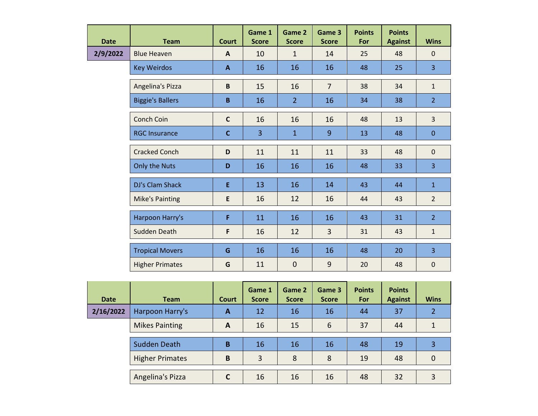| <b>Date</b> | <b>Team</b>             | <b>Court</b> | Game 1<br><b>Score</b> | Game 2<br><b>Score</b> | Game 3<br><b>Score</b> | <b>Points</b><br>For | <b>Points</b><br><b>Against</b> | <b>Wins</b>    |
|-------------|-------------------------|--------------|------------------------|------------------------|------------------------|----------------------|---------------------------------|----------------|
| 2/9/2022    | <b>Blue Heaven</b>      | $\mathbf{A}$ | 10                     | $\mathbf{1}$           | 14                     | 25                   | 48                              | $\mathbf 0$    |
|             | <b>Key Weirdos</b>      | $\mathbf{A}$ | 16                     | 16                     | 16                     | 48                   | 25                              | $\overline{3}$ |
|             | Angelina's Pizza        | $\mathbf B$  | 15                     | 16                     | $\overline{7}$         | 38                   | 34                              | $\mathbf{1}$   |
|             | <b>Biggie's Ballers</b> | B            | 16                     | $\overline{2}$         | 16                     | 34                   | 38                              | 2 <sup>1</sup> |
|             | Conch Coin              | $\mathsf{C}$ | 16                     | 16                     | 16                     | 48                   | 13                              | $\overline{3}$ |
|             | <b>RGC Insurance</b>    | $\mathbf{C}$ | $\overline{3}$         | $\mathbf{1}$           | 9                      | 13                   | 48                              | $\mathbf 0$    |
|             | <b>Cracked Conch</b>    | D            | 11                     | 11                     | 11                     | 33                   | 48                              | $\mathbf 0$    |
|             | Only the Nuts           | D            | 16                     | 16                     | 16                     | 48                   | 33                              | $\overline{3}$ |
|             | DJ's Clam Shack         | E            | 13                     | 16                     | 14                     | 43                   | 44                              | $\mathbf{1}$   |
|             | <b>Mike's Painting</b>  | E            | 16                     | 12                     | 16                     | 44                   | 43                              | $\overline{2}$ |
|             | Harpoon Harry's         | F            | 11                     | 16                     | 16                     | 43                   | 31                              | $\overline{2}$ |
|             | Sudden Death            | F            | 16                     | 12                     | $\overline{3}$         | 31                   | 43                              | $\mathbf{1}$   |
|             | <b>Tropical Movers</b>  | G            | 16                     | 16                     | 16                     | 48                   | 20                              | $\overline{3}$ |
|             | <b>Higher Primates</b>  | G            | 11                     | $\boldsymbol{0}$       | 9                      | 20                   | 48                              | $\pmb{0}$      |

| <b>Date</b> | <b>Team</b>            | Court | Game 1<br><b>Score</b> | Game 2<br><b>Score</b> | Game 3<br><b>Score</b> | <b>Points</b><br><b>For</b> | <b>Points</b><br><b>Against</b> | <b>Wins</b> |
|-------------|------------------------|-------|------------------------|------------------------|------------------------|-----------------------------|---------------------------------|-------------|
| 2/16/2022   | Harpoon Harry's        | A     | 12                     | 16                     | 16                     | 44                          | 37                              |             |
|             | <b>Mikes Painting</b>  | A     | 16                     | 15                     | 6                      | 37                          | 44                              |             |
|             | Sudden Death           | B     | 16                     | 16                     | 16                     | 48                          | 19                              | 3           |
|             | <b>Higher Primates</b> | B     | 3                      | 8                      | 8                      | 19                          | 48                              | 0           |
|             | Angelina's Pizza       | C     | 16                     | 16                     | 16                     | 48                          | 32                              |             |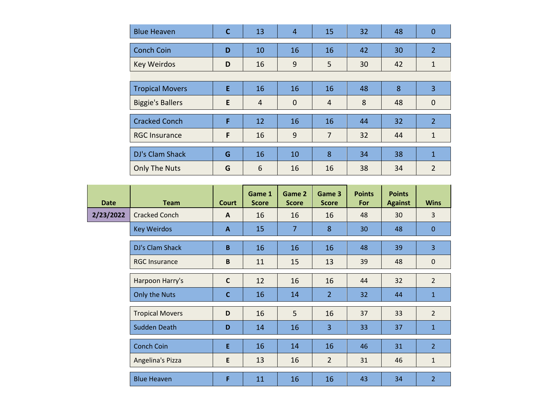| <b>Blue Heaven</b>      | $\mathsf{C}$ | 13             | 4              | 15             | 32 | 48 | $\mathbf 0$    |  |  |  |
|-------------------------|--------------|----------------|----------------|----------------|----|----|----------------|--|--|--|
| <b>Conch Coin</b>       | D            | 10             | 16             | 16             | 42 | 30 | $\overline{2}$ |  |  |  |
| <b>Key Weirdos</b>      | D            | 16             | 9              | 5              | 30 | 42 | $\mathbf{1}$   |  |  |  |
|                         |              |                |                |                |    |    |                |  |  |  |
| <b>Tropical Movers</b>  | E            | 16             | 16             | 16             | 48 | 8  | 3              |  |  |  |
| <b>Biggie's Ballers</b> | E            | $\overline{4}$ | $\overline{0}$ | $\overline{4}$ | 8  | 48 | $\mathbf 0$    |  |  |  |
| <b>Cracked Conch</b>    | F.           | 12             | 16             | 16             | 44 | 32 | $\overline{2}$ |  |  |  |
| <b>RGC Insurance</b>    | F            | 16             | 9              | $\overline{7}$ | 32 | 44 | $\mathbf{1}$   |  |  |  |
| DJ's Clam Shack         | G            | 16             | 10             | 8              | 34 | 38 | $\mathbf{1}$   |  |  |  |
| <b>Only The Nuts</b>    | G            | 6              | 16             | 16             | 38 | 34 | $\overline{2}$ |  |  |  |

| <b>Date</b> | <b>Team</b>            | Court        | Game 1<br><b>Score</b> | Game 2<br><b>Score</b> | Game 3<br><b>Score</b> | <b>Points</b><br>For | <b>Points</b><br><b>Against</b> | <b>Wins</b>    |
|-------------|------------------------|--------------|------------------------|------------------------|------------------------|----------------------|---------------------------------|----------------|
| 2/23/2022   | <b>Cracked Conch</b>   | A            | 16                     | 16                     | 16                     | 48                   | 30                              | 3              |
|             | <b>Key Weirdos</b>     | $\mathbf{A}$ | 15                     | $\overline{7}$         | 8                      | 30                   | 48                              | $\mathbf{0}$   |
|             | DJ's Clam Shack        | B            | 16                     | 16                     | 16                     | 48                   | 39                              | 3              |
|             | <b>RGC Insurance</b>   | B            | 11                     | 15                     | 13                     | 39                   | 48                              | $\mathbf 0$    |
|             | Harpoon Harry's        | $\mathsf{C}$ | 12                     | 16                     | 16                     | 44                   | 32                              | 2              |
|             | Only the Nuts          | $\mathbf{C}$ | 16                     | 14                     | $\overline{2}$         | 32                   | 44                              | $\mathbf{1}$   |
|             | <b>Tropical Movers</b> | D            | 16                     | 5                      | 16                     | 37                   | 33                              | 2              |
|             | Sudden Death           | D            | 14                     | 16                     | 3                      | 33                   | 37                              | $\mathbf{1}$   |
|             | <b>Conch Coin</b>      | E            | 16                     | 14                     | 16                     | 46                   | 31                              | $\overline{2}$ |
|             | Angelina's Pizza       | E            | 13                     | 16                     | $\overline{2}$         | 31                   | 46                              | $\mathbf{1}$   |
|             | <b>Blue Heaven</b>     | F            | 11                     | 16                     | 16                     | 43                   | 34                              | $\overline{2}$ |